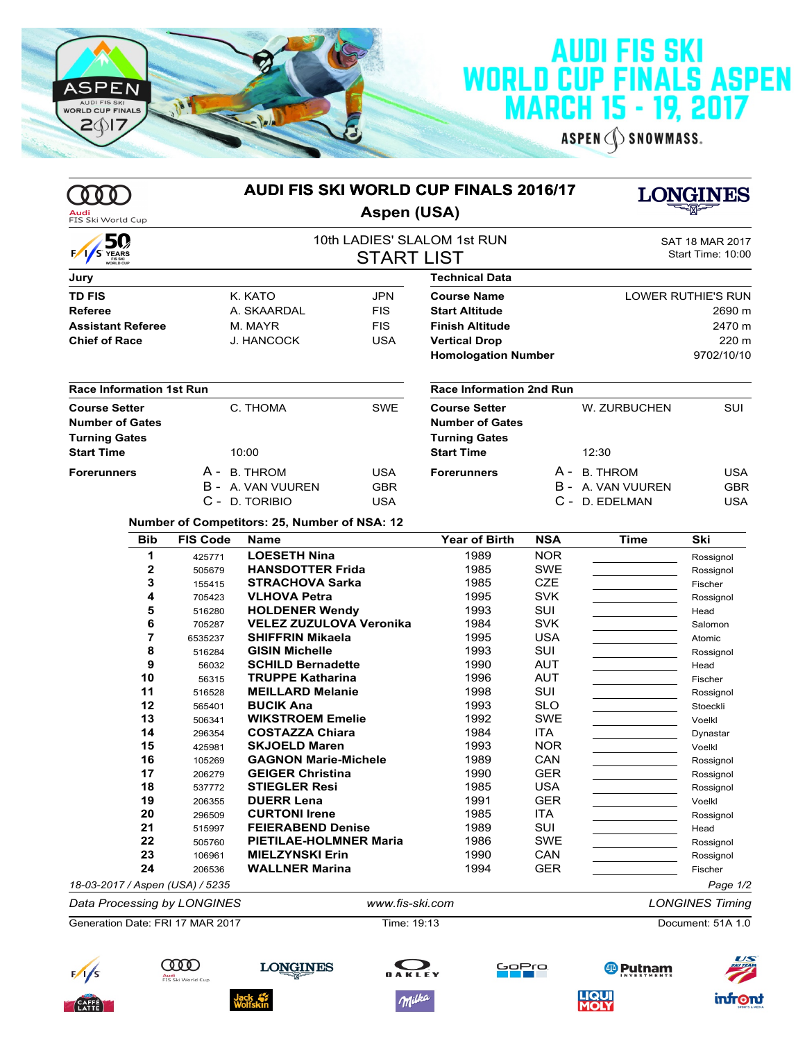

## **AUDI FIS SKI<br>WORLD CUP FINALS ASPEN<br>MARCH 15 - 19, 2017**

ASPEN SNOWMASS.

|                                  |                                  |                                              | <b>AUDI FIS SKI WORLD CUP FINALS 2016/17</b>     |                            |                   |                       | LONGINES                                    |  |  |
|----------------------------------|----------------------------------|----------------------------------------------|--------------------------------------------------|----------------------------|-------------------|-----------------------|---------------------------------------------|--|--|
| Audi<br>FIS Ski World Cup        |                                  |                                              | <b>Aspen (USA)</b>                               |                            |                   |                       |                                             |  |  |
| 50<br>S YEARS                    |                                  |                                              | 10th LADIES' SLALOM 1st RUN<br><b>START LIST</b> |                            |                   |                       | <b>SAT 18 MAR 2017</b><br>Start Time: 10:00 |  |  |
| Jury                             |                                  |                                              |                                                  | <b>Technical Data</b>      |                   |                       |                                             |  |  |
| <b>TD FIS</b>                    |                                  | K. KATO                                      | <b>JPN</b>                                       | <b>Course Name</b>         |                   |                       | LOWER RUTHIE'S RUN                          |  |  |
| <b>Referee</b>                   |                                  | A. SKAARDAL                                  | <b>FIS</b>                                       | <b>Start Altitude</b>      |                   |                       | 2690 m                                      |  |  |
| <b>Assistant Referee</b>         |                                  | M. MAYR                                      | <b>FIS</b>                                       | <b>Finish Altitude</b>     |                   |                       | 2470 m                                      |  |  |
| <b>Chief of Race</b>             |                                  | <b>J. HANCOCK</b>                            | <b>USA</b>                                       | <b>Vertical Drop</b>       |                   |                       | 220 m                                       |  |  |
|                                  |                                  |                                              |                                                  | <b>Homologation Number</b> |                   |                       | 9702/10/10                                  |  |  |
| <b>Race Information 1st Run</b>  |                                  |                                              |                                                  | Race Information 2nd Run   |                   |                       |                                             |  |  |
| <b>Course Setter</b>             |                                  | C. THOMA                                     | <b>SWE</b>                                       | <b>Course Setter</b>       |                   | W. ZURBUCHEN          | SUI                                         |  |  |
| <b>Number of Gates</b>           |                                  |                                              |                                                  | <b>Number of Gates</b>     |                   |                       |                                             |  |  |
| <b>Turning Gates</b>             |                                  |                                              |                                                  | <b>Turning Gates</b>       |                   |                       |                                             |  |  |
| <b>Start Time</b>                |                                  | 10:00                                        |                                                  | <b>Start Time</b>          |                   | 12:30                 |                                             |  |  |
| <b>Forerunners</b>               |                                  | A - B. THROM                                 | <b>USA</b>                                       | <b>Forerunners</b>         |                   | A - B. THROM          | <b>USA</b>                                  |  |  |
|                                  |                                  | B - A VAN VUUREN                             | <b>GBR</b>                                       |                            |                   | B - A. VAN VUUREN     | <b>GBR</b>                                  |  |  |
|                                  |                                  | C - D. TORIBIO                               | <b>USA</b>                                       |                            |                   | C - D. EDELMAN        | <b>USA</b>                                  |  |  |
|                                  |                                  | Number of Competitors: 25, Number of NSA: 12 |                                                  |                            |                   |                       |                                             |  |  |
| <b>Bib</b>                       | <b>FIS Code</b>                  | <b>Name</b>                                  |                                                  | <b>Year of Birth</b>       | <b>NSA</b>        | <b>Time</b>           | Ski                                         |  |  |
| 1                                | 425771                           | <b>LOESETH Nina</b>                          |                                                  | 1989                       | <b>NOR</b>        |                       | Rossignol                                   |  |  |
| 2                                | 505679                           | <b>HANSDOTTER Frida</b>                      |                                                  | 1985                       | <b>SWE</b>        |                       | Rossignol                                   |  |  |
| 3                                | 155415                           | <b>STRACHOVA Sarka</b>                       |                                                  | 1985                       | <b>CZE</b>        |                       | Fischer                                     |  |  |
| 4<br>5                           | 705423                           | <b>VLHOVA Petra</b><br><b>HOLDENER Wendy</b> |                                                  | 1995<br>1993               | <b>SVK</b><br>SUI |                       | Rossignol                                   |  |  |
| 6                                | 516280<br>705287                 | <b>VELEZ ZUZULOVA Veronika</b>               |                                                  | 1984                       | <b>SVK</b>        |                       | Head<br>Salomon                             |  |  |
| 7                                | 6535237                          | <b>SHIFFRIN Mikaela</b>                      |                                                  | 1995                       | <b>USA</b>        |                       | Atomic                                      |  |  |
| 8                                | 516284                           | <b>GISIN Michelle</b>                        |                                                  | 1993                       | SUI               |                       | Rossignol                                   |  |  |
| 9                                | 56032                            | <b>SCHILD Bernadette</b>                     |                                                  | 1990                       | <b>AUT</b>        |                       | Head                                        |  |  |
| 10                               | 56315                            | <b>TRUPPE Katharina</b>                      |                                                  | 1996                       | <b>AUT</b>        |                       | Fischer                                     |  |  |
| 11                               | 516528                           | <b>MEILLARD Melanie</b>                      |                                                  | 1998                       | SUI               |                       | Rossignol                                   |  |  |
| 12                               | 565401                           | <b>BUCIK Ana</b>                             |                                                  | 1993                       | <b>SLO</b>        |                       | Stoeckli                                    |  |  |
| 13                               | 506341                           | <b>WIKSTROEM Emelie</b>                      |                                                  | 1992                       | <b>SWE</b>        |                       | Voelkl                                      |  |  |
| 14                               | 296354                           | <b>COSTAZZA Chiara</b>                       |                                                  | 1984                       | <b>ITA</b>        |                       | Dynastar                                    |  |  |
| 15                               | 425981                           | <b>SKJOELD Maren</b>                         |                                                  | 1993                       | <b>NOR</b>        |                       | Voelkl                                      |  |  |
| 16                               | 105269                           | <b>GAGNON Marie-Michele</b>                  |                                                  | 1989                       | CAN               |                       | Rossignol                                   |  |  |
| 17                               | 206279                           | <b>GEIGER Christina</b>                      |                                                  | 1990                       | <b>GER</b>        |                       | Rossignol                                   |  |  |
| 18<br>19                         | 537772                           | <b>STIEGLER Resi</b>                         |                                                  | 1985<br>1991               | USA<br><b>GER</b> |                       | Rossignol                                   |  |  |
| 20                               | 206355<br>296509                 | <b>DUERR Lena</b><br><b>CURTONI Irene</b>    |                                                  | 1985                       | ITA               |                       | Voelkl<br>Rossignol                         |  |  |
| 21                               | 515997                           | <b>FEIERABEND Denise</b>                     |                                                  | 1989                       | SUI               |                       | Head                                        |  |  |
| 22                               | 505760                           | <b>PIETILAE-HOLMNER Maria</b>                |                                                  | 1986                       | <b>SWE</b>        |                       | Rossignol                                   |  |  |
| 23                               | 106961                           | <b>MIELZYNSKI Erin</b>                       |                                                  | 1990                       | CAN               |                       | Rossignol                                   |  |  |
| 24                               | 206536                           | <b>WALLNER Marina</b>                        |                                                  | 1994                       | <b>GER</b>        |                       | Fischer                                     |  |  |
| 18-03-2017 / Aspen (USA) / 5235  |                                  |                                              |                                                  |                            |                   |                       | Page 1/2                                    |  |  |
| Data Processing by LONGINES      |                                  |                                              | www.fis-ski.com                                  |                            |                   |                       | <b>LONGINES Timing</b>                      |  |  |
| Generation Date: FRI 17 MAR 2017 |                                  |                                              | Time: 19:13                                      |                            |                   |                       | Document: 51A 1.0                           |  |  |
|                                  | IOD<br>Audi<br>FIS Ski World Cup | <b>LONGINES</b>                              |                                                  | GoPro                      |                   | <sup>69</sup> Putnam  | US                                          |  |  |
|                                  |                                  |                                              | Milka                                            |                            |                   | <b>LIQUI<br/>MOLY</b> | <b>infront</b>                              |  |  |